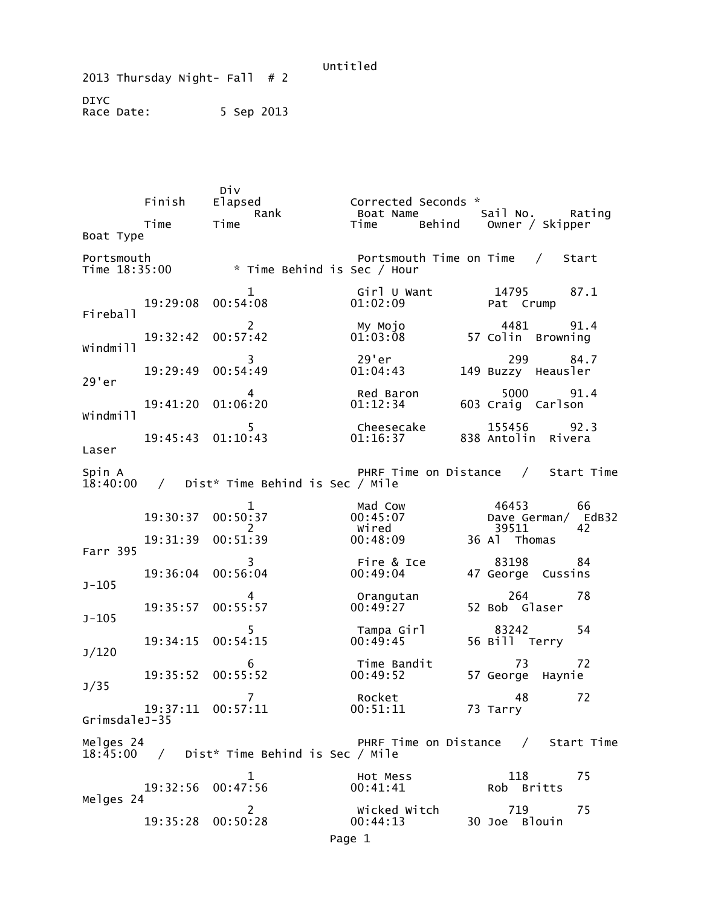Untitled 2013 Thursday Night- Fall  $# 2$ DIYC Race Date: 5 Sep 2013

Div<br>Finish Elapsed Finish Elapsed Corrected Seconds \* Rank Boat Name Sail No. Rating<br>Time Time Time Behind Owner / Skipper Owner / Skipper Boat Type Portsmouth Portsmouth Time on Time / Start<br>Time 18:35:00 \* Time Behind is Sec / Hour \* Time Behind is Sec / Hour 1 Girl U Want 14795 87.1 19:29:08 00:54:08 Fireball 2 My Mojo 4481 91.4 19:32:42 00:57:42 01:03:08 57 Colin Browning Windmill 3 29'er 299 84.7 19:29:49 00:54:49 01:04:43 149 Buzzy Heausler 29'er 4 Red Baron 5000 91.4<br>19:41:20 01:06:20 01:12:34 603 Craig Carlson 603 Craig Carlson Windmill 5 Cheesecake 155456 92.3 838 Antolin Rivera Laser Spin A German Research Movement Contract PHRF Time on Distance  $\,$  / Start Time 18:40:00 / Dist\* Time Behind is Sec / Mile 1 Mad Cow 46453 66 19:30:37 00:50:37 00:45:07 Dave German/ EdB32 2 Wired 39511 42 19:31:39 00:51:39 00:48:09 36 Al Thomas Farr 395 3 Fire & Ice 83198 84 47 George Cussins J-105 4 Orangutan 264 78 52 Bob Glaser J-105 5 Tampa Girl 83242 54<br>15 15 00:49:45 56 Bill Terry 19:34:15 00:54:15 J/120 6 Time Bandit 73 72 57 George Haynie J/35 7 Rocket 48 72 19:37:11 00:57:11 00:51:11 73 Tarry GrimsdaleJ-35 Melges 24 **PHRF** Time on Distance / Start Time 18:45:00 / Dist\* Time Behind is Sec / Mile 1 **1** Hot Mess 118 75 19:32:56 00:47:56 00:41:41 Rob Britts Melges 24 2 Wicked Witch 719 75 19:35:28 00:50:28 Page 1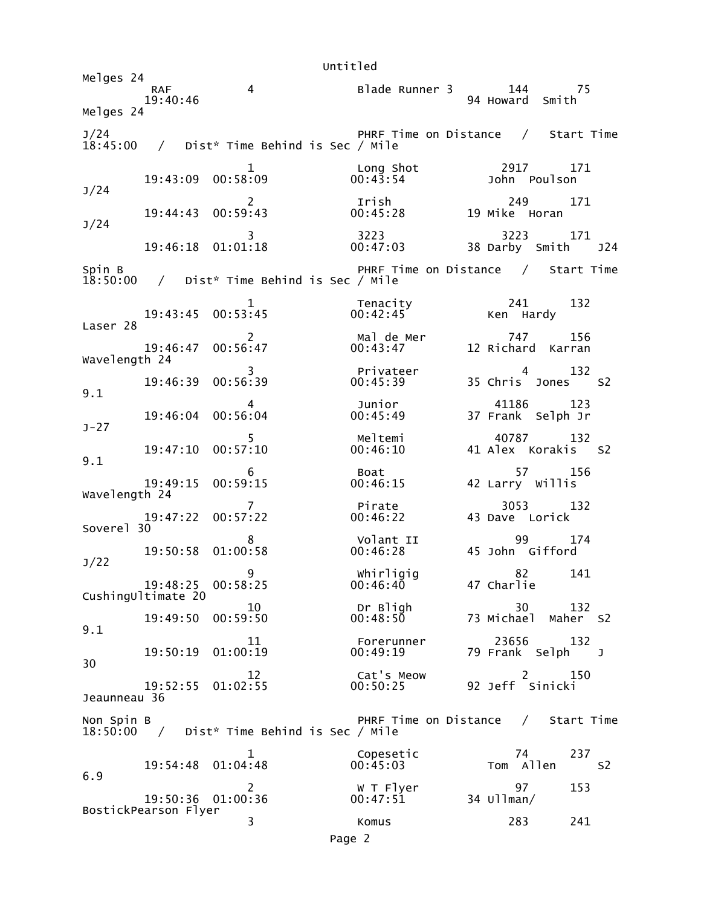Untitled Melaes 24 RAF 4 Blade Runner 3 144 75 94 Howard Smith Melges 24 J/24 PHRF Time on Distance / Start Time 18:45:00 / Dist\* Time Behind is Sec / Mile 1 Long Shot 2917 171  $19:43:09$   $00:58:09$ J/24 2 Irish 249 171 19:44:43 00:59:43 00:45:28 19 Mike Horan J/24 3 3223 3223 171 19:46:18 01:01:18 00:47:03 38 Darby Smith J24 Spin B PHRF Time on Distance / Start Time 18:50:00 / Dist\* Time Behind is Sec / Mile 19:43:45 00:53:45 19:43:45 19:43:45 19:43:45 19:43:45 132 Ken Hardy Laser 28 2 Mal de Mer 747 156 12 Richard Karran Wavelength 24 3 Privateer 4 132 35 Chris Jones S2 9.1 4 Junior 41186 123 19:46:04 00:56:04 00:45:49 37 Frank Selph Jr J-27 5 Meltemi 40787 132<br>19:47:10 00:57:10 00:46:10 41 Alex Korakis 41 Alex Korakis S2 9.1  $\overline{6}$  Boat 57 156 19:49:15 00:59:15 00:46:15 42 Larry Willis Wavelength 24 7 Pirate 3053 132 19:47:22 00:57:22 00:46:22 43 Dave Lorick Soverel 30 8 Volant II 99 174  $19:50:58$   $01:00:58$ J/22 whirligig 82 141<br>00:46:40 47 Charlie 19:48:25 00:58:25 CushingUltimate 20 10 Dr Bligh 30 132 19:49:50 00:59:50 00:48:50 73 Michael Maher S2 9.1 11 Forerunner 23656 132 19:50:19 01:00:19 00:49:19 79 Frank Selph J 30 12 Cat's Meow 2 150 19:52:55 01:02:55 00:50:25 92 Jeff Sinicki Jeaunneau 36 Non Spin B **PHRF Time on Distance / Start Time** 18:50:00 / Dist\* Time Behind is Sec / Mile 1 Copesetic 74 237 19:54:48 01:04:48 6.9 2 W T Flyer 97 153 19:50:36 01:00:36 BostickPearson Flyer 3 Komus 283 241 Page 2